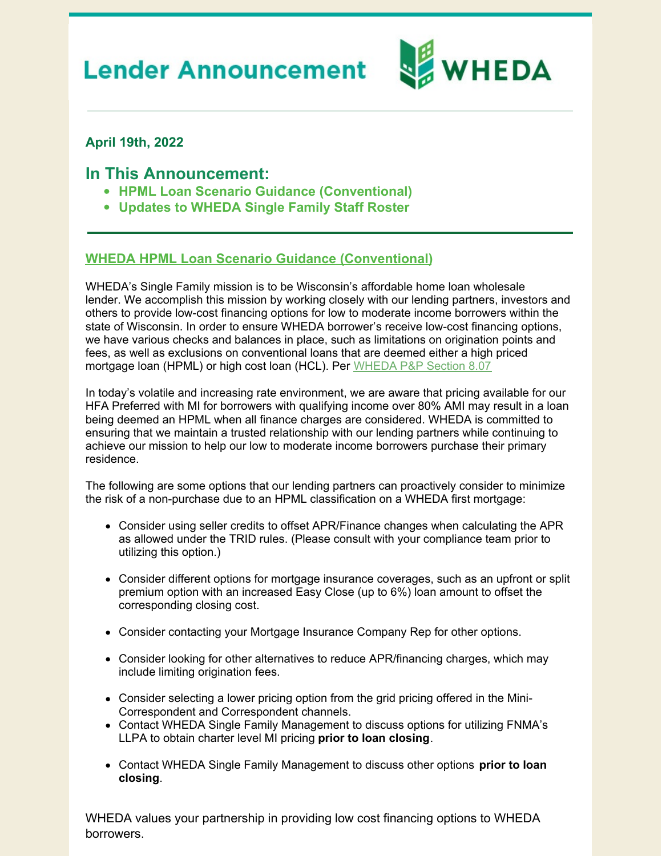# **Lender Announcement**



### **April 19th, 2022**

## **In This Announcement:**

- **HPML Loan Scenario Guidance (Conventional)**
- **Updates to WHEDA Single Family Staff Roster**

#### **WHEDA HPML Loan Scenario Guidance (Conventional)**

WHEDA's Single Family mission is to be Wisconsin's affordable home loan wholesale lender. We accomplish this mission by working closely with our lending partners, investors and others to provide low-cost financing options for low to moderate income borrowers within the state of Wisconsin. In order to ensure WHEDA borrower's receive low-cost financing options, we have various checks and balances in place, such as limitations on origination points and fees, as well as exclusions on conventional loans that are deemed either a high priced mortgage loan (HPML) or high cost loan (HCL). Per [WHEDA](https://www.wheda.com/globalassets/documents/mortgage-lending/policies-and-procedures-manual.pdf#page=52) P&P Section 8.07

In today's volatile and increasing rate environment, we are aware that pricing available for our HFA Preferred with MI for borrowers with qualifying income over 80% AMI may result in a loan being deemed an HPML when all finance charges are considered. WHEDA is committed to ensuring that we maintain a trusted relationship with our lending partners while continuing to achieve our mission to help our low to moderate income borrowers purchase their primary residence.

The following are some options that our lending partners can proactively consider to minimize the risk of a non-purchase due to an HPML classification on a WHEDA first mortgage:

- Consider using seller credits to offset APR/Finance changes when calculating the APR as allowed under the TRID rules. (Please consult with your compliance team prior to utilizing this option.)
- Consider different options for mortgage insurance coverages, such as an upfront or split premium option with an increased Easy Close (up to 6%) loan amount to offset the corresponding closing cost.
- Consider contacting your Mortgage Insurance Company Rep for other options.
- Consider looking for other alternatives to reduce APR/financing charges, which may include limiting origination fees.
- Consider selecting a lower pricing option from the grid pricing offered in the Mini-Correspondent and Correspondent channels.
- Contact WHEDA Single Family Management to discuss options for utilizing FNMA's LLPA to obtain charter level MI pricing **prior to loan closing**.
- Contact WHEDA Single Family Management to discuss other options **prior to loan closing**.

WHEDA values your partnership in providing low cost financing options to WHEDA borrowers.